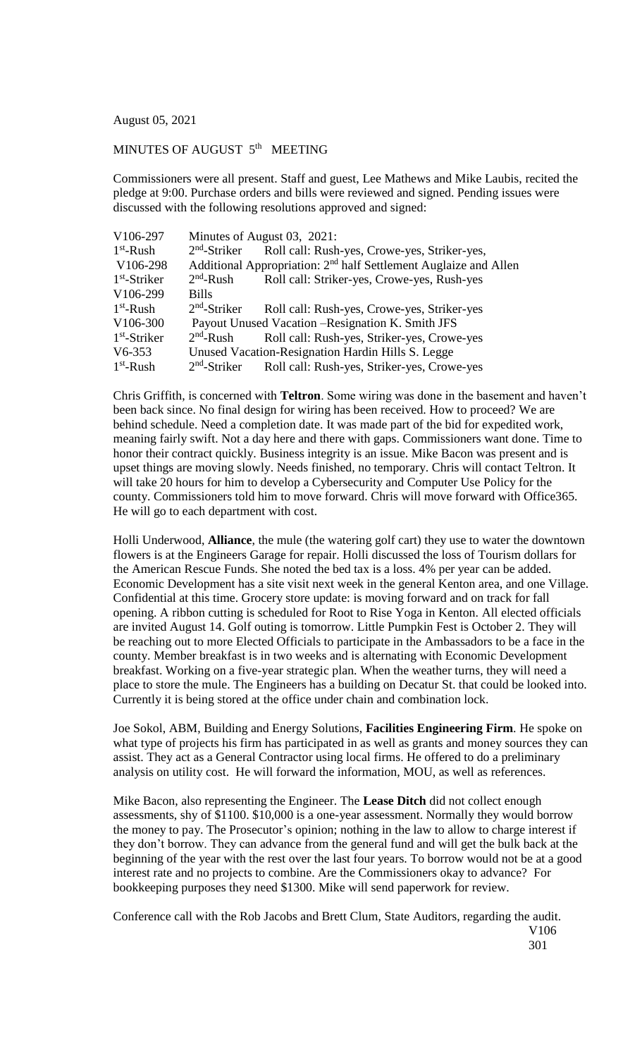August 05, 2021

## MINUTES OF AUGUST 5<sup>th</sup> MEETING

Commissioners were all present. Staff and guest, Lee Mathews and Mike Laubis, recited the pledge at 9:00. Purchase orders and bills were reviewed and signed. Pending issues were discussed with the following resolutions approved and signed:

| V106-297       | Minutes of August 03, 2021:                                                  |                                              |
|----------------|------------------------------------------------------------------------------|----------------------------------------------|
| $1st$ -Rush    | $2nd$ -Striker                                                               | Roll call: Rush-yes, Crowe-yes, Striker-yes, |
| V106-298       | Additional Appropriation: 2 <sup>nd</sup> half Settlement Auglaize and Allen |                                              |
| $1st$ -Striker | $2nd$ -Rush                                                                  | Roll call: Striker-yes, Crowe-yes, Rush-yes  |
| V106-299       | <b>Bills</b>                                                                 |                                              |
| $1st$ -Rush    | $2nd$ -Striker                                                               | Roll call: Rush-yes, Crowe-yes, Striker-yes  |
| V106-300       | Payout Unused Vacation – Resignation K. Smith JFS                            |                                              |
| $1st$ -Striker | $2nd$ -Rush                                                                  | Roll call: Rush-yes, Striker-yes, Crowe-yes  |
| $V6-353$       | Unused Vacation-Resignation Hardin Hills S. Legge                            |                                              |
| $1st$ -Rush    | $2nd$ -Striker                                                               | Roll call: Rush-yes, Striker-yes, Crowe-yes  |

Chris Griffith, is concerned with **Teltron**. Some wiring was done in the basement and haven't been back since. No final design for wiring has been received. How to proceed? We are behind schedule. Need a completion date. It was made part of the bid for expedited work, meaning fairly swift. Not a day here and there with gaps. Commissioners want done. Time to honor their contract quickly. Business integrity is an issue. Mike Bacon was present and is upset things are moving slowly. Needs finished, no temporary. Chris will contact Teltron. It will take 20 hours for him to develop a Cybersecurity and Computer Use Policy for the county. Commissioners told him to move forward. Chris will move forward with Office365. He will go to each department with cost.

Holli Underwood, **Alliance**, the mule (the watering golf cart) they use to water the downtown flowers is at the Engineers Garage for repair. Holli discussed the loss of Tourism dollars for the American Rescue Funds. She noted the bed tax is a loss. 4% per year can be added. Economic Development has a site visit next week in the general Kenton area, and one Village. Confidential at this time. Grocery store update: is moving forward and on track for fall opening. A ribbon cutting is scheduled for Root to Rise Yoga in Kenton. All elected officials are invited August 14. Golf outing is tomorrow. Little Pumpkin Fest is October 2. They will be reaching out to more Elected Officials to participate in the Ambassadors to be a face in the county. Member breakfast is in two weeks and is alternating with Economic Development breakfast. Working on a five-year strategic plan. When the weather turns, they will need a place to store the mule. The Engineers has a building on Decatur St. that could be looked into. Currently it is being stored at the office under chain and combination lock.

Joe Sokol, ABM, Building and Energy Solutions, **Facilities Engineering Firm**. He spoke on what type of projects his firm has participated in as well as grants and money sources they can assist. They act as a General Contractor using local firms. He offered to do a preliminary analysis on utility cost. He will forward the information, MOU, as well as references.

Mike Bacon, also representing the Engineer. The **Lease Ditch** did not collect enough assessments, shy of \$1100. \$10,000 is a one-year assessment. Normally they would borrow the money to pay. The Prosecutor's opinion; nothing in the law to allow to charge interest if they don't borrow. They can advance from the general fund and will get the bulk back at the beginning of the year with the rest over the last four years. To borrow would not be at a good interest rate and no projects to combine. Are the Commissioners okay to advance? For bookkeeping purposes they need \$1300. Mike will send paperwork for review.

Conference call with the Rob Jacobs and Brett Clum, State Auditors, regarding the audit.